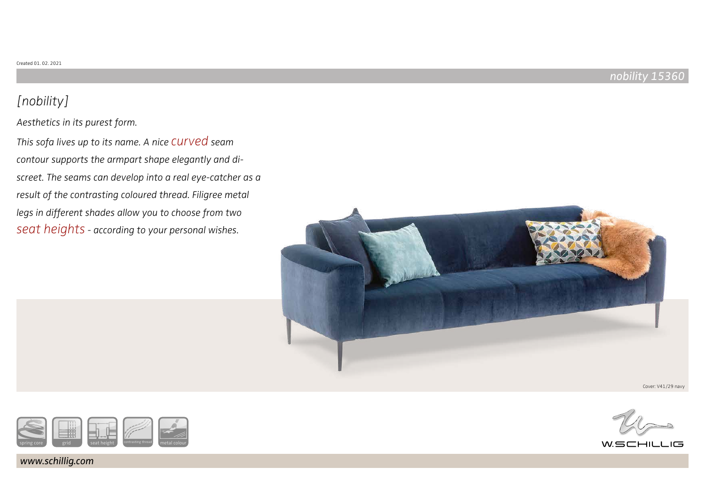### nobility 15360

# [nobility]

Aesthetics in its purest form.

This sofa lives up to its name. A nice CUIVed seam contour supports the armpart shape elegantly and discreet. The seams can develop into a real eye-catcher as a result of the contrasting coloured thread. Filigree metal legs in different shades allow you to choose from two seat heights - according to your personal wishes.







www.schillig.com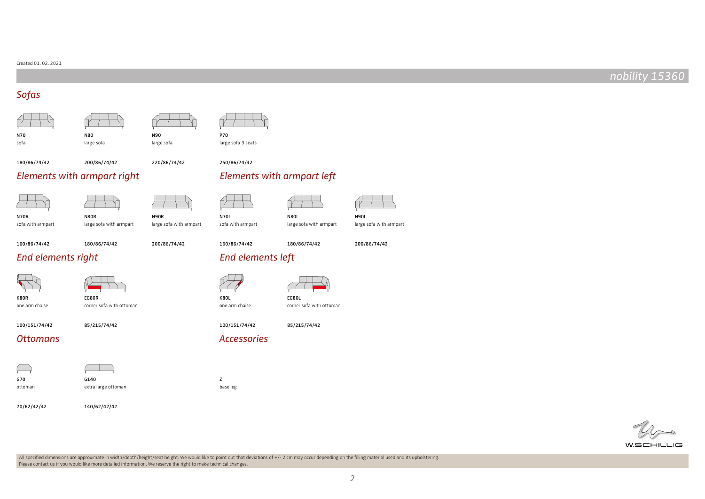#### Created 01. 02. 2021

### nobility 15360

### Sofas

N70 sofa

N80



P70 large sofa 3 seats

250/86/74/42

160/86/74/42

N70L

K80L one arm chaise

180/86/74/42

220/86/74/42

N90 large sofa

### Elements with armpart right Elements with armpart left

large sofa

N80R

large sofa with armpart

200/86/74/42



N70R sofa with armpart

N90R large sofa with armpart





large sofa with armpart

200/86/74/42

sofa with armpart N80L



160/86/74/42 180/86/74/42

200/86/74/42

### 180/86/74/42

### End elements right End elements left



one arm chaise





corner sofa with ottoman

EG80R corner sofa with ottoman

100/151/74/42

### 85/215/74/42

### Ottomans and accessories and accessories



ottoman

G140 extra large ottoman

140/62/42/42

70/62/42/42

base leg







100/151/74/42





All specified dimensions are approximate in width/depth/height/seat height. We would like to point out that deviations of +/- 2 cm may occur depending on the filling material used and its upholstering. Please contact us if you would like more detailed information. We reserve the right to make technical changes.

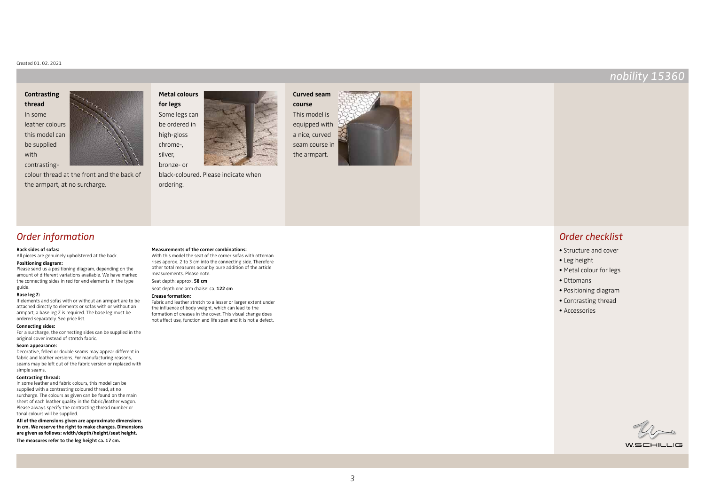#### Created 01. 02. 2021

### **Contrasting thread** In some leather colours this model can

be supplied with



contrastingcolour thread at the front and the back of the armpart, at no surcharge.



black-coloured. Please indicate when ordering.

**Measurements of the corner combinations:** With this model the seat of the corner sofas with ottoman rises approx. 2 to 3 cm into the connecting side. Therefore other total measures occur by pure addition of the article

Fabric and leather stretch to a lesser or larger extent under the influence of body weight, which can lead to the formation of creases in the cover. This visual change does not affect use, function and life span and it is not a defect.

measurements. Please note. Seat depth: approx. **58 cm** Seat depth one arm chaise: ca. **122 cm**

**Crease formation:**





### Order information

#### **Back sides of sofas:**

All pieces are genuinely upholstered at the back.

#### **Positioning diagram:**

Please send us a positioning diagram, depending on the amount of different variations available. We have marked the connecting sides in red for end elements in the type guide.

#### **Base leg Z:**

If elements and sofas with or without an armpart are to be attached directly to elements or sofas with or without an armpart, a base leg Z is required. The base leg must be ordered separately. See price list.

#### **Connecting sides:**

For a surcharge, the connecting sides can be supplied in the original cover instead of stretch fabric.

#### **Seam appearance:**

Decorative, felled or double seams may appear different in fabric and leather versions. For manufacturing reasons, seams may be left out of the fabric version or replaced with simple seams.

#### **Contrasting thread:**

In some leather and fabric colours, this model can be supplied with a contrasting coloured thread, at no surcharge. The colours as given can be found on the main sheet of each leather quality in the fabric/leather wagon. Please always specify the contrasting thread number or tonal colours will be supplied.

**All of the dimensions given are approximate dimensions in cm. We reserve the right to make changes. Dimensions are given as follows: width/depth/height/seat height.**

**The measures refer to the leg height ca. 17 cm.**

### Order checklist

- Structure and cover
- Leg height
- Metal colour for legs
- Ottomans
- Positioning diagram
- Contrasting thread
- Accessories

WSCHILLIG

### nobility 15360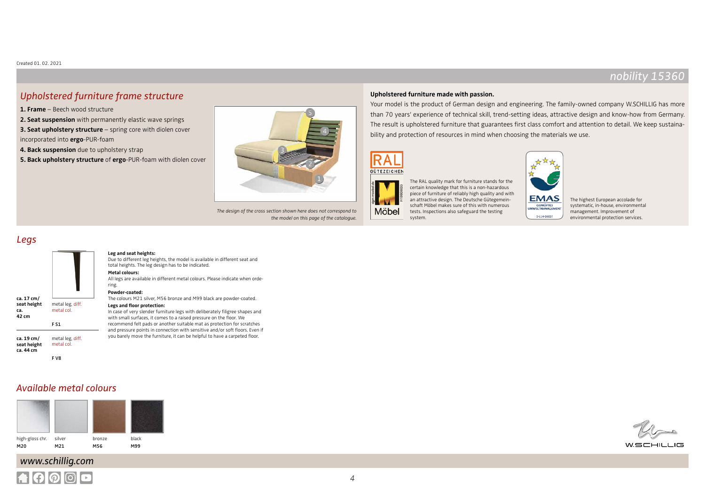### Upholstered furniture frame structure

- **1. Frame** Beech wood structure
- **2. Seat suspension** with permanently elastic wave springs
- **3. Seat upholstery structure** spring core with diolen cover incorporated into **ergo**-PUR-foam
- **4. Back suspension** due to upholstery strap
- **5. Back upholstery structure** of **ergo**-PUR-foam with diolen cover

**Leg and seat heights:**

**Metal colours:** 

ring. **Powder-coated:**



The design of the cross section shown here does not correspond to the model on this page of the catalogue.

### **Upholstered furniture made with passion.**

Your model is the product of German design and engineering. The family-owned company W.SCHILLIG has more than 70 years' experience of technical skill, trend-setting ideas, attractive design and know-how from Germany. The result is upholstered furniture that guarantees first class comfort and attention to detail. We keep sustainability and protection of resources in mind when choosing the materials we use.

> **EMAS GEPRÜFTES**<br>WELTMANAGEMEN

> > D-114-00007





The RAL quality mark for furniture stands for the certain knowledge that this is a non-hazardous piece of furniture of reliably high quality and with an attractive design. The Deutsche Gütegemeinschaft Möbel makes sure of this with numerous tests. Inspections also safeguard the testing system.

The highest European accolade for systematic, in-house, environmental management. Improvement of environmental protection services.

### Legs

### **ca. 17 cm/ seat height ca. 42 cm** metal leg, diff. metal col. F S1

- **ca. 19 cm/ seat height ca. 44 cm** metal leg, diff. metal col. F V8
	-

### Available metal colours



# www.schillig.com



#### The colours M21 silver, M56 bronze and M99 black are powder-coated.

total heights. The leg design has to be indicated.

Due to different leg heights, the model is available in different seat and

All legs are available in different metal colours. Please indicate when orde-

**Legs and floor protection:** In case of very slender furniture legs with deliberately filigree shapes and with small surfaces, it comes to a raised pressure on the floor. We recommend felt pads or another suitable mat as protection for scratches and pressure points in connection with sensitive and/or soft floors. Even if you barely move the furniture, it can be helpful to have a carpeted floor.